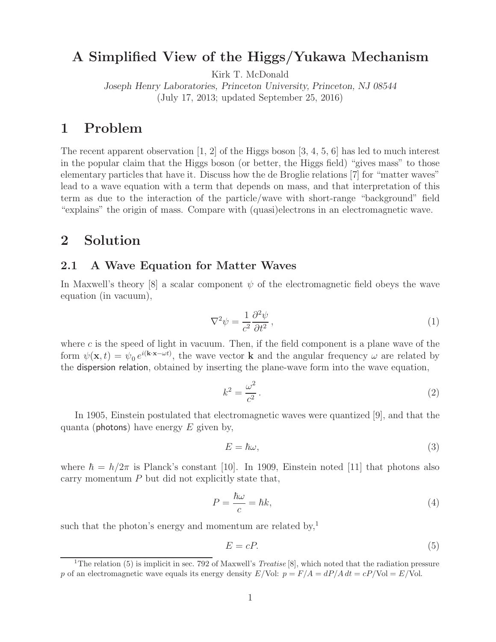# **A Simplified View of the Higgs/Yukawa Mechanism**

Kirk T. McDonald

*Joseph Henry Laboratories, Princeton University, Princeton, NJ 08544* (July 17, 2013; updated September 25, 2016)

# **1 Problem**

The recent apparent observation  $[1, 2]$  of the Higgs boson  $[3, 4, 5, 6]$  has led to much interest in the popular claim that the Higgs boson (or better, the Higgs field) "gives mass" to those elementary particles that have it. Discuss how the de Broglie relations [7] for "matter waves" lead to a wave equation with a term that depends on mass, and that interpretation of this term as due to the interaction of the particle/wave with short-range "background" field "explains" the origin of mass. Compare with (quasi)electrons in an electromagnetic wave.

# **2 Solution**

### **2.1 A Wave Equation for Matter Waves**

In Maxwell's theory [8] a scalar component  $\psi$  of the electromagnetic field obeys the wave equation (in vacuum),

$$
\nabla^2 \psi = \frac{1}{c^2} \frac{\partial^2 \psi}{\partial t^2},\tag{1}
$$

where  $c$  is the speed of light in vacuum. Then, if the field component is a plane wave of the form  $\psi(\mathbf{x},t) = \psi_0 e^{i(\mathbf{k}\cdot\mathbf{x}-\omega t)}$ , the wave vector **k** and the angular frequency  $\omega$  are related by the dispersion relation, obtained by inserting the plane-wave form into the wave equation,

$$
k^2 = \frac{\omega^2}{c^2} \,. \tag{2}
$$

In 1905, Einstein postulated that electromagnetic waves were quantized [9], and that the quanta (photons) have energy  $E$  given by,

$$
E = \hbar \omega,\tag{3}
$$

where  $\hbar = h/2\pi$  is Planck's constant [10]. In 1909, Einstein noted [11] that photons also carry momentum  $P$  but did not explicitly state that,

$$
P = \frac{\hbar\omega}{c} = \hbar k,\tag{4}
$$

such that the photon's energy and momentum are related by,<sup>1</sup>

$$
E = cP.\t\t(5)
$$

<sup>&</sup>lt;sup>1</sup>The relation (5) is implicit in sec. 792 of Maxwell's *Treatise* [8], which noted that the radiation pressure p of an electromagnetic wave equals its energy density  $E/\text{Vol}: p = F/A = dP/A dt = cP/\text{Vol} = E/\text{Vol}.$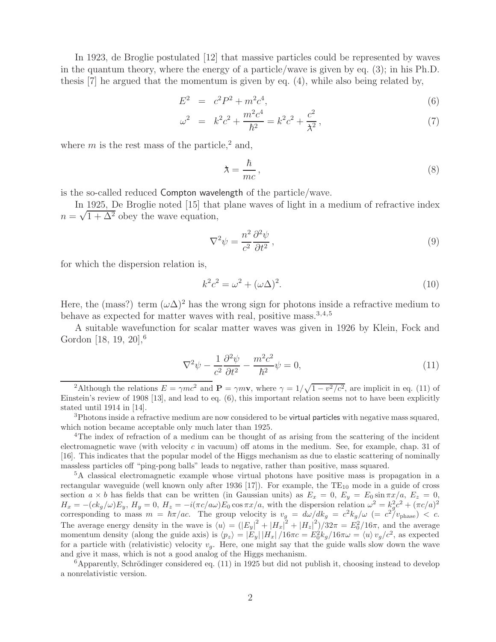In 1923, de Broglie postulated [12] that massive particles could be represented by waves in the quantum theory, where the energy of a particle/wave is given by eq. (3); in his Ph.D. thesis [7] he argued that the momentum is given by eq. (4), while also being related by,

$$
E^2 = c^2 P^2 + m^2 c^4, \tag{6}
$$

$$
\omega^2 = k^2 c^2 + \frac{m^2 c^4}{\hbar^2} = k^2 c^2 + \frac{c^2}{\lambda^2},\tag{7}
$$

where  $m$  is the rest mass of the particle,<sup>2</sup> and,

$$
\lambda = \frac{\hbar}{mc},\tag{8}
$$

is the so-called reduced Compton wavelength of the particle/wave.

In 1925, De Broglie noted [15] that plane waves of light in a medium of refractive index  $n = \sqrt{1 + \Delta^2}$  obey the wave equation,

$$
\nabla^2 \psi = \frac{n^2}{c^2} \frac{\partial^2 \psi}{\partial t^2},\tag{9}
$$

for which the dispersion relation is,

$$
k^2c^2 = \omega^2 + (\omega\Delta)^2. \tag{10}
$$

Here, the (mass?) term  $(\omega \Delta)^2$  has the wrong sign for photons inside a refractive medium to behave as expected for matter waves with real, positive mass.  $3,4,5$ 

A suitable wavefunction for scalar matter waves was given in 1926 by Klein, Fock and Gordon [18, 19, 20],<sup>6</sup>

$$
\nabla^2 \psi - \frac{1}{c^2} \frac{\partial^2 \psi}{\partial t^2} - \frac{m^2 c^2}{\hbar^2} \psi = 0,
$$
\n(11)

<sup>&</sup>lt;sup>2</sup>Although the relations  $E = \gamma mc^2$  and  $\mathbf{P} = \gamma m \mathbf{v}$ , where  $\gamma = 1/\sqrt{1 - v^2/c^2}$ , are implicit in eq. (11) of Einstein's review of 1908 [13], and lead to eq. (6), this important relation seems not to have been explicitly stated until 1914 in [14].

<sup>&</sup>lt;sup>3</sup>Photons inside a refractive medium are now considered to be virtual particles with negative mass squared, which notion became acceptable only much later than 1925.

<sup>&</sup>lt;sup>4</sup>The index of refraction of a medium can be thought of as arising from the scattering of the incident electromagnetic wave (with velocity c in vacuum) off atoms in the medium. See, for example, chap. 31 of [16]. This indicates that the popular model of the Higgs mechanism as due to elastic scattering of nominally massless particles off "ping-pong balls" leads to negative, rather than positive, mass squared.

<sup>5</sup>A classical electromagnetic example whose virtual photons have positive mass is propagation in a rectangular waveguide (well known only after 1936 [17]). For example, the  $TE_{10}$  mode in a guide of cross section  $a \times b$  has fields that can be written (in Gaussian units) as  $E_x = 0$ ,  $E_y = E_0 \sin \pi x/a$ ,  $E_z = 0$ ,  $H_x = -(ck_g/\omega)E_y$ ,  $H_y = 0$ ,  $H_z = -i(\pi c/a\omega)E_0 \cos \pi x/a$ , with the dispersion relation  $\omega^2 = k_g^2c^2 + (\pi c/a)^2$ corresponding to mass  $m = \hbar \pi / ac$ . The group velocity is  $v_g = d\omega / d k_g = c^2 k_g / \omega$  (=  $c^2 / v_{\text{phase}}$ ) < c. The average energy density in the wave is  $\langle u \rangle = (|E_y|^2 + |H_x|^2 + |H_x|^2)/32\pi = E_0^2/16\pi$ , and the average momentum density (along the guide axis) is  $\langle p_z \rangle = |E_y| |H_x| / 16 \pi c = E_0^2 k_g / 16 \pi \omega = \langle u \rangle v_g / c^2$ , as expected for a particle with (relativistic) velocity <sup>v</sup>*g*. Here, one might say that the guide walls slow down the wave and give it mass, which is not a good analog of the Higgs mechanism.

 $6$ Apparently, Schrödinger considered eq. (11) in 1925 but did not publish it, choosing instead to develop a nonrelativistic version.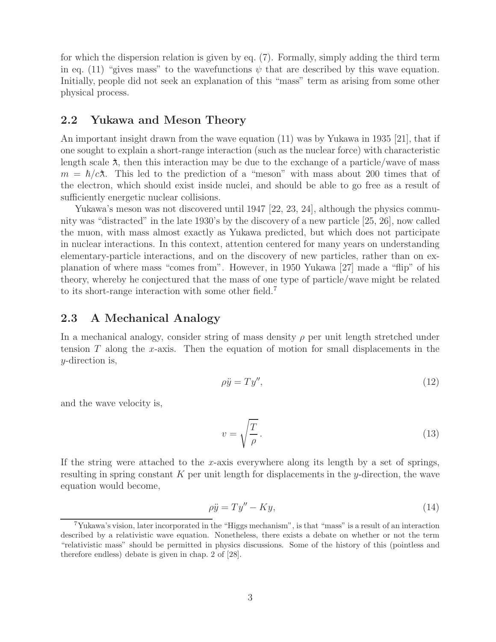for which the dispersion relation is given by eq. (7). Formally, simply adding the third term in eq. (11) "gives mass" to the wavefunctions  $\psi$  that are described by this wave equation. Initially, people did not seek an explanation of this "mass" term as arising from some other physical process.

### **2.2 Yukawa and Meson Theory**

An important insight drawn from the wave equation (11) was by Yukawa in 1935 [21], that if one sought to explain a short-range interaction (such as the nuclear force) with characteristic length scale  $\lambda$ , then this interaction may be due to the exchange of a particle/wave of mass  $m = \hbar/c\lambda$ . This led to the prediction of a "meson" with mass about 200 times that of the electron, which should exist inside nuclei, and should be able to go free as a result of sufficiently energetic nuclear collisions.

Yukawa's meson was not discovered until 1947 [22, 23, 24], although the physics community was "distracted" in the late 1930's by the discovery of a new particle [25, 26], now called the muon, with mass almost exactly as Yukawa predicted, but which does not participate in nuclear interactions. In this context, attention centered for many years on understanding elementary-particle interactions, and on the discovery of new particles, rather than on explanation of where mass "comes from". However, in 1950 Yukawa [27] made a "flip" of his theory, whereby he conjectured that the mass of one type of particle/wave might be related to its short-range interaction with some other field.<sup>7</sup>

### **2.3 A Mechanical Analogy**

In a mechanical analogy, consider string of mass density  $\rho$  per unit length stretched under tension  $T$  along the x-axis. Then the equation of motion for small displacements in the y-direction is,

$$
\rho \ddot{y} = T y'',\tag{12}
$$

and the wave velocity is,

$$
v = \sqrt{\frac{T}{\rho}}.\tag{13}
$$

If the string were attached to the x-axis everywhere along its length by a set of springs, resulting in spring constant K per unit length for displacements in the y-direction, the wave equation would become,

$$
\rho \ddot{y} = T y'' - Ky,\tag{14}
$$

<sup>7</sup>Yukawa's vision, later incorporated in the "Higgs mechanism", is that "mass" is a result of an interaction described by a relativistic wave equation. Nonetheless, there exists a debate on whether or not the term "relativistic mass" should be permitted in physics discussions. Some of the history of this (pointless and therefore endless) debate is given in chap. 2 of [28].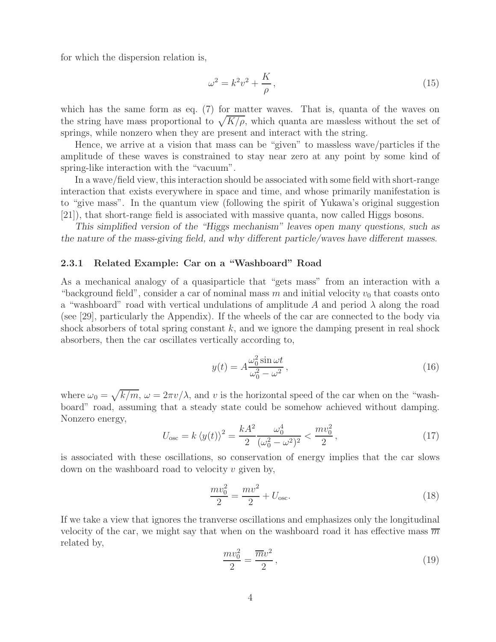for which the dispersion relation is,

$$
\omega^2 = k^2 v^2 + \frac{K}{\rho},\qquad(15)
$$

which has the same form as eq. (7) for matter waves. That is, quanta of the waves on the string have mass proportional to  $\sqrt{K/\rho}$ , which quanta are massless without the set of springs, while nonzero when they are present and interact with the string.

Hence, we arrive at a vision that mass can be "given" to massless wave/particles if the amplitude of these waves is constrained to stay near zero at any point by some kind of spring-like interaction with the "vacuum".

In a wave/field view, this interaction should be associated with some field with short-range interaction that exists everywhere in space and time, and whose primarily manifestation is to "give mass". In the quantum view (following the spirit of Yukawa's original suggestion [21]), that short-range field is associated with massive quanta, now called Higgs bosons.

*This simplified version of the "Higgs mechanism" leaves open many questions, such as the nature of the mass-giving field, and why different particle/waves have different masses.*

#### **2.3.1 Related Example: Car on a "Washboard" Road**

As a mechanical analogy of a quasiparticle that "gets mass" from an interaction with a "background field", consider a car of nominal mass  $m$  and initial velocity  $v_0$  that coasts onto a "washboard" road with vertical undulations of amplitude A and period  $\lambda$  along the road (see [29], particularly the Appendix). If the wheels of the car are connected to the body via shock absorbers of total spring constant  $k$ , and we ignore the damping present in real shock absorbers, then the car oscillates vertically according to,

$$
y(t) = A \frac{\omega_0^2 \sin \omega t}{\omega_0^2 - \omega^2},
$$
\n(16)

where  $\omega_0 = \sqrt{k/m}$ ,  $\omega = 2\pi v/\lambda$ , and v is the horizontal speed of the car when on the "washboard" road, assuming that a steady state could be somehow achieved without damping. Nonzero energy,

$$
U_{\text{osc}} = k \left\langle y(t) \right\rangle^2 = \frac{k A^2}{2} \frac{\omega_0^4}{(\omega_0^2 - \omega^2)^2} < \frac{m v_0^2}{2},\tag{17}
$$

is associated with these oscillations, so conservation of energy implies that the car slows down on the washboard road to velocity  $v$  given by,

$$
\frac{mv_0^2}{2} = \frac{mv^2}{2} + U_{\text{osc}}.\tag{18}
$$

If we take a view that ignores the tranverse oscillations and emphasizes only the longitudinal velocity of the car, we might say that when on the washboard road it has effective mass  $\overline{m}$ related by,

$$
\frac{mv_0^2}{2} = \frac{\overline{m}v^2}{2},\qquad(19)
$$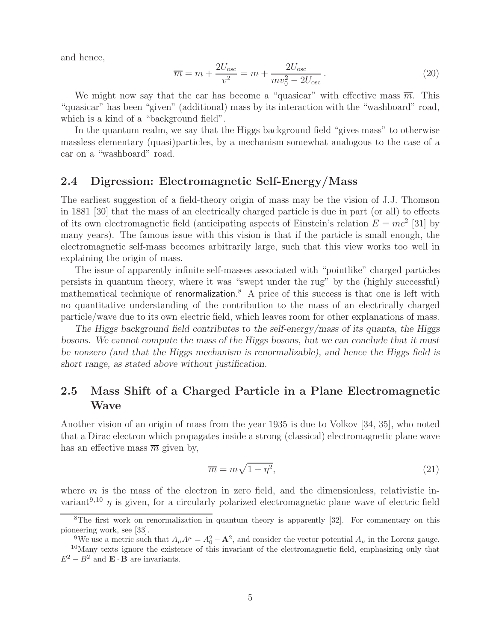and hence,

$$
\overline{m} = m + \frac{2U_{\text{osc}}}{v^2} = m + \frac{2U_{\text{osc}}}{mv_0^2 - 2U_{\text{osc}}}.
$$
\n(20)

We might now say that the car has become a "quasicar" with effective mass  $\overline{m}$ . This "quasicar" has been "given" (additional) mass by its interaction with the "washboard" road, which is a kind of a "background field".

In the quantum realm, we say that the Higgs background field "gives mass" to otherwise massless elementary (quasi)particles, by a mechanism somewhat analogous to the case of a car on a "washboard" road.

### **2.4 Digression: Electromagnetic Self-Energy/Mass**

The earliest suggestion of a field-theory origin of mass may be the vision of J.J. Thomson in 1881 [30] that the mass of an electrically charged particle is due in part (or all) to effects of its own electromagnetic field (anticipating aspects of Einstein's relation  $E = mc^2$  [31] by many years). The famous issue with this vision is that if the particle is small enough, the electromagnetic self-mass becomes arbitrarily large, such that this view works too well in explaining the origin of mass.

The issue of apparently infinite self-masses associated with "pointlike" charged particles persists in quantum theory, where it was "swept under the rug" by the (highly successful) mathematical technique of renormalization.<sup>8</sup> A price of this success is that one is left with no quantitative understanding of the contribution to the mass of an electrically charged particle/wave due to its own electric field, which leaves room for other explanations of mass.

*The Higgs background field contributes to the self-energy/mass of its quanta, the Higgs bosons. We cannot compute the mass of the Higgs bosons, but we can conclude that it must be nonzero (and that the Higgs mechanism is renormalizable), and hence the Higgs field is short range, as stated above without justification.*

# **2.5 Mass Shift of a Charged Particle in a Plane Electromagnetic Wave**

Another vision of an origin of mass from the year 1935 is due to Volkov [34, 35], who noted that a Dirac electron which propagates inside a strong (classical) electromagnetic plane wave has an effective mass  $\overline{m}$  given by,

$$
\overline{m} = m\sqrt{1 + \eta^2},\tag{21}
$$

where  $m$  is the mass of the electron in zero field, and the dimensionless, relativistic invariant<sup>9,10</sup>  $\eta$  is given, for a circularly polarized electromagnetic plane wave of electric field

<sup>&</sup>lt;sup>8</sup>The first work on renormalization in quantum theory is apparently [32]. For commentary on this pioneering work, see [33].

<sup>&</sup>lt;sup>9</sup>We use a metric such that  $A_{\mu}A^{\mu} = A_0^2 - \mathbf{A}^2$ , and consider the vector potential  $A_{\mu}$  in the Lorenz gauge. <sup>10</sup>Many texts ignore the existence of this invariant of the electromagnetic field, emphasizing only that  $E^2 - B^2$  and  $\mathbf{E} \cdot \mathbf{B}$  are invariants.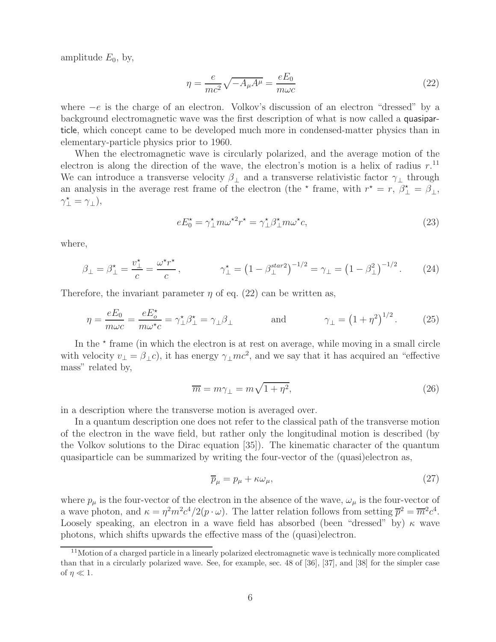amplitude  $E_0$ , by,

$$
\eta = \frac{e}{mc^2} \sqrt{-A_{\mu}A^{\mu}} = \frac{eE_0}{m\omega c}
$$
\n(22)

where  $-e$  is the charge of an electron. Volkov's discussion of an electron "dressed" by a background electromagnetic wave was the first description of what is now called a quasiparticle, which concept came to be developed much more in condensed-matter physics than in elementary-particle physics prior to 1960.

When the electromagnetic wave is circularly polarized, and the average motion of the electron is along the direction of the wave, the electron's motion is a helix of radius  $r$ .<sup>11</sup> We can introduce a transverse velocity  $\beta_+$  and a transverse relativistic factor  $\gamma_+$  through an analysis in the average rest frame of the electron (the  $\star$  frame, with  $r^* = r$ ,  $\beta_{\perp}^* = \beta_{\perp}$ ,  $\gamma_{\perp}^{\star} = \gamma_{\perp}),$ 

$$
eE_0^* = \gamma_{\perp}^* m \omega^{*2} r^* = \gamma_{\perp}^* \beta_{\perp}^* m \omega^* c,\tag{23}
$$

where,

$$
\beta_{\perp} = \beta_{\perp}^{\star} = \frac{v_{\perp}^{\star}}{c} = \frac{\omega^{\star} r^{\star}}{c}, \qquad \gamma_{\perp}^{\star} = \left(1 - \beta_{\perp}^{star2}\right)^{-1/2} = \gamma_{\perp} = \left(1 - \beta_{\perp}^{2}\right)^{-1/2}.
$$
 (24)

Therefore, the invariant parameter  $\eta$  of eq. (22) can be written as,

$$
\eta = \frac{eE_0}{m\omega c} = \frac{eE_o^*}{m\omega^* c} = \gamma_\perp^* \beta_\perp^* = \gamma_\perp \beta_\perp \qquad \text{and} \qquad \gamma_\perp = \left(1 + \eta^2\right)^{1/2}.\tag{25}
$$

In the  $\star$  frame (in which the electron is at rest on average, while moving in a small circle with velocity  $v_{\perp} = \beta_{\perp}c$ , it has energy  $\gamma_{\perp}mc^2$ , and we say that it has acquired an "effective mass" related by,

$$
\overline{m} = m\gamma_{\perp} = m\sqrt{1 + \eta^2},\tag{26}
$$

in a description where the transverse motion is averaged over.

In a quantum description one does not refer to the classical path of the transverse motion of the electron in the wave field, but rather only the longitudinal motion is described (by the Volkov solutions to the Dirac equation [35]). The kinematic character of the quantum quasiparticle can be summarized by writing the four-vector of the (quasi)electron as,

$$
\overline{p}_{\mu} = p_{\mu} + \kappa \omega_{\mu},\tag{27}
$$

where  $p_{\mu}$  is the four-vector of the electron in the absence of the wave,  $\omega_{\mu}$  is the four-vector of a wave photon, and  $\kappa = \eta^2 m^2 c^4/2(p \cdot \omega)$ . The latter relation follows from setting  $\overline{p}^2 = \overline{m}^2 c^4$ . Loosely speaking, an electron in a wave field has absorbed (been "dressed" by)  $\kappa$  wave photons, which shifts upwards the effective mass of the (quasi)electron.

 $11$ Motion of a charged particle in a linearly polarized electromagnetic wave is technically more complicated than that in a circularly polarized wave. See, for example, sec. 48 of [36], [37], and [38] for the simpler case of  $\eta \ll 1$ .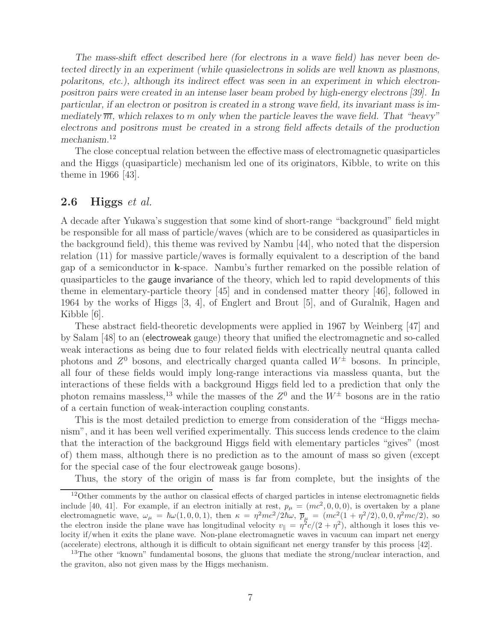*The mass-shift effect described here (for electrons in a wave field) has never been detected directly in an experiment (while quasielectrons in solids are well known as plasmons, polaritons, etc.), although its indirect effect was seen in an experiment in which electronpositron pairs were created in an intense laser beam probed by high-energy electrons [39]. In particular, if an electron or positron is created in a strong wave field, its invariant mass is immediately*  $\overline{m}$ *, which relaxes to* m only when the particle leaves the wave field. That "heavy" *electrons and positrons must be created in a strong field affects details of the production mechanism.*<sup>12</sup>

The close conceptual relation between the effective mass of electromagnetic quasiparticles and the Higgs (quasiparticle) mechanism led one of its originators, Kibble, to write on this theme in 1966 [43].

## **2.6 Higgs** *et al.*

A decade after Yukawa's suggestion that some kind of short-range "background" field might be responsible for all mass of particle/waves (which are to be considered as quasiparticles in the background field), this theme was revived by Nambu [44], who noted that the dispersion relation (11) for massive particle/waves is formally equivalent to a description of the band gap of a semiconductor in **k**-space. Nambu's further remarked on the possible relation of quasiparticles to the gauge invariance of the theory, which led to rapid developments of this theme in elementary-particle theory [45] and in condensed matter theory [46], followed in 1964 by the works of Higgs [3, 4], of Englert and Brout [5], and of Guralnik, Hagen and Kibble [6].

These abstract field-theoretic developments were applied in 1967 by Weinberg [47] and by Salam [48] to an (electroweak gauge) theory that unified the electromagnetic and so-called weak interactions as being due to four related fields with electrically neutral quanta called photons and  $Z^0$  bosons, and electrically charged quanta called  $W^{\pm}$  bosons. In principle, all four of these fields would imply long-range interactions via massless quanta, but the interactions of these fields with a background Higgs field led to a prediction that only the photon remains massless,<sup>13</sup> while the masses of the  $Z^0$  and the  $W^{\pm}$  bosons are in the ratio of a certain function of weak-interaction coupling constants.

This is the most detailed prediction to emerge from consideration of the "Higgs mechanism", and it has been well verified experimentally. This success lends credence to the claim that the interaction of the background Higgs field with elementary particles "gives" (most of) them mass, although there is no prediction as to the amount of mass so given (except for the special case of the four electroweak gauge bosons).

Thus, the story of the origin of mass is far from complete, but the insights of the

<sup>&</sup>lt;sup>12</sup>Other comments by the author on classical effects of charged particles in intense electromagnetic fields include [40, 41]. For example, if an electron initially at rest,  $p_{\mu} = (mc^2, 0, 0, 0)$ , is overtaken by a plane electromagnetic wave,  $\omega_{\mu} = \hbar \omega (1, 0, 0, 1)$ , then  $\kappa = \eta^2 mc^2/2\hbar \omega$ ,  $\overline{p}_{\mu} = (mc^2(1 + \eta^2/2), 0, 0, \eta^2 mc/2)$ , so the electron inside the plane wave has longitudinal velocity  $v_x = \eta^2 c/(2 + \eta^2)$ , although it less t the electron inside the plane wave has longitudinal velocity  $v_{\parallel} = \eta^2 c/(2 + \eta^2)$ , although it loses this velocity if/when it exits the plane wave. Non-plane electromagnetic waves in vacuum can impart net energy (accelerate) electrons, although it is difficult to obtain significant net energy transfer by this process [42].

<sup>&</sup>lt;sup>13</sup>The other "known" fundamental bosons, the gluons that mediate the strong/nuclear interaction, and the graviton, also not given mass by the Higgs mechanism.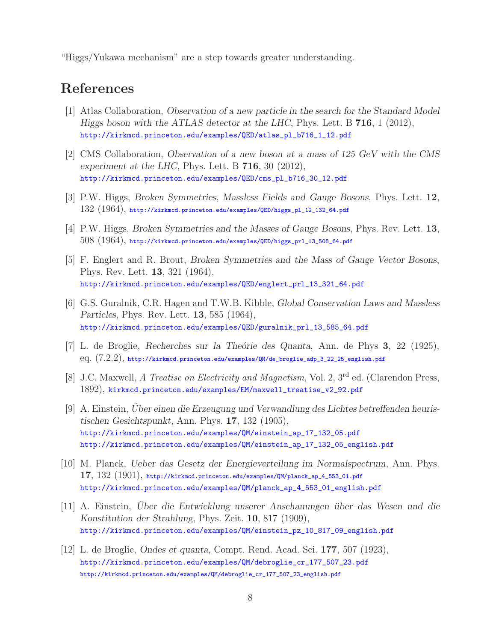"Higgs/Yukawa mechanism" are a step towards greater understanding.

# **References**

- [1] Atlas Collaboration, *Observation of a new particle in the search for the Standard Model Higgs boson with the ATLAS detector at the LHC*, Phys. Lett. B **716**, 1 (2012), http://kirkmcd.princeton.edu/examples/QED/atlas\_pl\_b716\_1\_12.pdf
- [2] CMS Collaboration, *Observation of a new boson at a mass of 125 GeV with the CMS experiment at the LHC*, Phys. Lett. B **716**, 30 (2012), http://kirkmcd.princeton.edu/examples/QED/cms\_pl\_b716\_30\_12.pdf
- [3] P.W. Higgs, *Broken Symmetries, Massless Fields and Gauge Bosons*, Phys. Lett. **12**,  $132$   $(1964)$ , http://kirkmcd.princeton.edu/examples/QED/higgs\_pl\_12\_132\_64.pdf
- [4] P.W. Higgs, *Broken Symmetries and the Masses of Gauge Bosons*, Phys. Rev. Lett. **13**,  $508$   $(1964)$ , http://kirkmcd.princeton.edu/examples/QED/higgs\_prl\_13\_508\_64.pdf
- [5] F. Englert and R. Brout, *Broken Symmetries and the Mass of Gauge Vector Bosons*, Phys. Rev. Lett. **13**, 321 (1964), http://kirkmcd.princeton.edu/examples/QED/englert\_prl\_13\_321\_64.pdf
- [6] G.S. Guralnik, C.R. Hagen and T.W.B. Kibble, *Global Conservation Laws and Massless Particles*, Phys. Rev. Lett. **13**, 585 (1964), http://kirkmcd.princeton.edu/examples/QED/guralnik\_prl\_13\_585\_64.pdf
- [7] L. de Broglie, *Recherches sur la The´orie des Quanta*, Ann. de Phys **3**, 22 (1925), eq. (7.2.2), http://kirkmcd.princeton.edu/examples/QM/de\_broglie\_adp\_3\_22\_25\_english.pdf
- [8] J.C. Maxwell, *A Treatise on Electricity and Magnetism*, Vol. 2, 3rd ed. (Clarendon Press, 1892), kirkmcd.princeton.edu/examples/EM/maxwell\_treatise\_v2\_92.pdf
- [9] A. Einstein, *Uber einen die Erzeugung und Verwandlung des Lichtes betreffenden heuris- ¨ tischen Gesichtspunkt*, Ann. Phys. **17**, 132 (1905), http://kirkmcd.princeton.edu/examples/QM/einstein\_ap\_17\_132\_05.pdf http://kirkmcd.princeton.edu/examples/QM/einstein\_ap\_17\_132\_05\_english.pdf
- [10] M. Planck, *Ueber das Gesetz der Energieverteilung im Normalspectrum*, Ann. Phys. **17**, 132 (1901), http://kirkmcd.princeton.edu/examples/QM/planck\_ap\_4\_553\_01.pdf http://kirkmcd.princeton.edu/examples/QM/planck\_ap\_4\_553\_01\_english.pdf
- [11] A. Einstein, *Uber die Entwicklung unserer Anschauungen ¨ ¨ uber das Wesen und die Konstitution der Strahlung*, Phys. Zeit. **10**, 817 (1909), http://kirkmcd.princeton.edu/examples/QM/einstein\_pz\_10\_817\_09\_english.pdf
- [12] L. de Broglie, *Ondes et quanta*, Compt. Rend. Acad. Sci. **177**, 507 (1923), http://kirkmcd.princeton.edu/examples/QM/debroglie\_cr\_177\_507\_23.pdf http://kirkmcd.princeton.edu/examples/QM/debroglie\_cr\_177\_507\_23\_english.pdf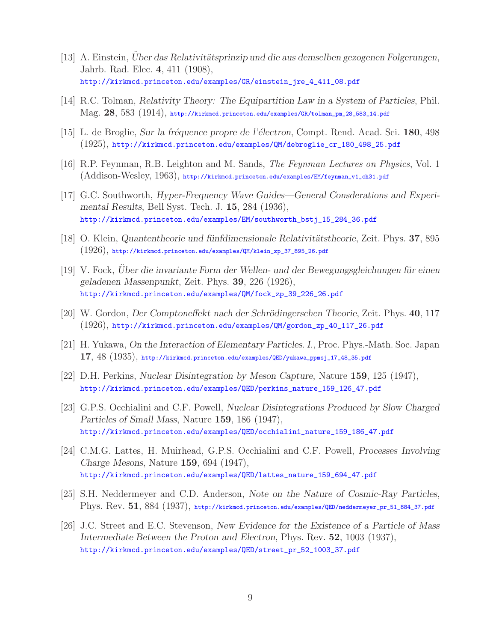- [13] A. Einstein, *Uber das Relativitätsprinzip und die aus demselben gezogenen Folgerungen*, Jahrb. Rad. Elec. **4**, 411 (1908), http://kirkmcd.princeton.edu/examples/GR/einstein\_jre\_4\_411\_08.pdf
- [14] R.C. Tolman, *Relativity Theory: The Equipartition Law in a System of Particles*, Phil. Mag. **28**, 583 (1914), http://kirkmcd.princeton.edu/examples/GR/tolman\_pm\_28\_583\_14.pdf
- [15] L. de Broglie, *Sur la fr´equence propre de l'´electron*, Compt. Rend. Acad. Sci. **180**, 498 (1925), http://kirkmcd.princeton.edu/examples/QM/debroglie\_cr\_180\_498\_25.pdf
- [16] R.P. Feynman, R.B. Leighton and M. Sands, *The Feynman Lectures on Physics*, Vol. 1 (Addison-Wesley, 1963), http://kirkmcd.princeton.edu/examples/EM/feynman\_v1\_ch31.pdf
- [17] G.C. Southworth, *Hyper-Frequency Wave Guides—General Consderations and Experimental Results*, Bell Syst. Tech. J. **15**, 284 (1936), http://kirkmcd.princeton.edu/examples/EM/southworth\_bstj\_15\_284\_36.pdf
- [18] O. Klein, *Quantentheorie und fünfdimensionale Relativitätstheorie*, Zeit. Phys. **37**, 895  $(1926)$ , http://kirkmcd.princeton.edu/examples/QM/klein\_zp\_37\_895\_26.pdf
- [19] V. Fock, *Uber die invariante Form der Wellen- und der Bewegungsgleichungen für einen geladenen Massenpunkt*, Zeit. Phys. **39**, 226 (1926), http://kirkmcd.princeton.edu/examples/QM/fock\_zp\_39\_226\_26.pdf
- [20] W. Gordon, *Der Comptoneffekt nach der Schrödingerschen Theorie*, Zeit. Phys. **40**, 117 (1926), http://kirkmcd.princeton.edu/examples/QM/gordon\_zp\_40\_117\_26.pdf
- [21] H. Yukawa, *On the Interaction of Elementary Particles. I.*, Proc. Phys.-Math. Soc. Japan **17**, 48 (1935), http://kirkmcd.princeton.edu/examples/QED/yukawa\_ppmsj\_17\_48\_35.pdf
- [22] D.H. Perkins, *Nuclear Disintegration by Meson Capture*, Nature **159**, 125 (1947), http://kirkmcd.princeton.edu/examples/QED/perkins\_nature\_159\_126\_47.pdf
- [23] G.P.S. Occhialini and C.F. Powell, *Nuclear Disintegrations Produced by Slow Charged Particles of Small Mass*, Nature **159**, 186 (1947), http://kirkmcd.princeton.edu/examples/QED/occhialini\_nature\_159\_186\_47.pdf
- [24] C.M.G. Lattes, H. Muirhead, G.P.S. Occhialini and C.F. Powell, *Processes Involving Charge Mesons*, Nature **159**, 694 (1947), http://kirkmcd.princeton.edu/examples/QED/lattes\_nature\_159\_694\_47.pdf
- [25] S.H. Neddermeyer and C.D. Anderson, *Note on the Nature of Cosmic-Ray Particles*, Phys. Rev. **51**, 884 (1937), http://kirkmcd.princeton.edu/examples/QED/neddermeyer\_pr\_51\_884\_37.pdf
- [26] J.C. Street and E.C. Stevenson, *New Evidence for the Existence of a Particle of Mass Intermediate Between the Proton and Electron*, Phys. Rev. **52**, 1003 (1937), http://kirkmcd.princeton.edu/examples/QED/street\_pr\_52\_1003\_37.pdf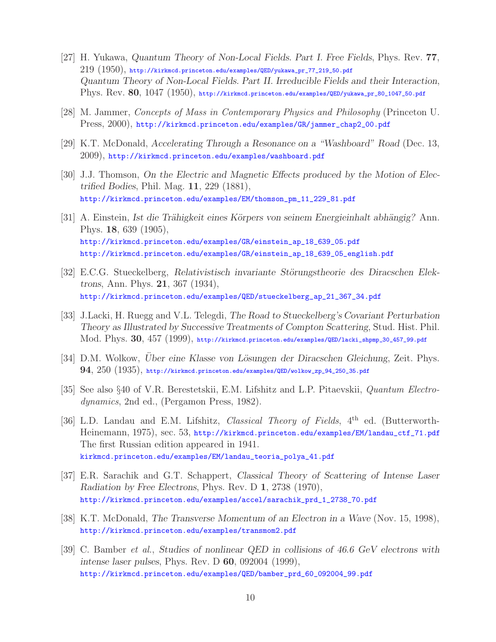- [27] H. Yukawa, *Quantum Theory of Non-Local Fields. Part I. Free Fields*, Phys. Rev. **77**,  $219$   $(1950)$ , http://kirkmcd.princeton.edu/examples/QED/yukawa\_pr\_77\_219\_50.pdf *Quantum Theory of Non-Local Fields. Part II. Irreducible Fields and their Interaction*, Phys. Rev. **80**, 1047 (1950), http://kirkmcd.princeton.edu/examples/QED/yukawa\_pr\_80\_1047\_50.pdf
- [28] M. Jammer, *Concepts of Mass in Contemporary Physics and Philosophy* (Princeton U. Press, 2000), http://kirkmcd.princeton.edu/examples/GR/jammer\_chap2\_00.pdf
- [29] K.T. McDonald, *Accelerating Through a Resonance on a "Washboard" Road* (Dec. 13, 2009), http://kirkmcd.princeton.edu/examples/washboard.pdf
- [30] J.J. Thomson, *On the Electric and Magnetic Effects produced by the Motion of Electrified Bodies*, Phil. Mag. **11**, 229 (1881), http://kirkmcd.princeton.edu/examples/EM/thomson\_pm\_11\_229\_81.pdf
- [31] A. Einstein, *Ist die Trähigkeit eines Körpers von seinem Energieinhalt abhängig?* Ann. Phys. **18**, 639 (1905), http://kirkmcd.princeton.edu/examples/GR/einstein\_ap\_18\_639\_05.pdf http://kirkmcd.princeton.edu/examples/GR/einstein\_ap\_18\_639\_05\_english.pdf
- [32] E.C.G. Stueckelberg, *Relativistisch invariante Störungstheorie des Diracschen Elektrons*, Ann. Phys. **21**, 367 (1934), http://kirkmcd.princeton.edu/examples/QED/stueckelberg\_ap\_21\_367\_34.pdf
- [33] J.Lacki, H. Ruegg and V.L. Telegdi, *The Road to Stueckelberg's Covariant Perturbation Theory as Illustrated by Successive Treatments of Compton Scattering*, Stud. Hist. Phil. Mod. Phys. **30**, 457 (1999), http://kirkmcd.princeton.edu/examples/QED/lacki\_shpmp\_30\_457\_99.pdf
- [34] D.M. Wolkow, *Uber eine Klasse von Lösungen der Diracschen Gleichung*, Zeit. Phys. **94**, 250 (1935), http://kirkmcd.princeton.edu/examples/QED/wolkow\_zp\_94\_250\_35.pdf
- [35] See also §40 of V.R. Berestetskii, E.M. Lifshitz and L.P. Pitaevskii, *Quantum Electrodynamics*, 2nd ed., (Pergamon Press, 1982).
- [36] L.D. Landau and E.M. Lifshitz, *Classical Theory of Fields*, 4th ed. (Butterworth-Heinemann, 1975), sec. 53, http://kirkmcd.princeton.edu/examples/EM/landau\_ctf\_71.pdf The first Russian edition appeared in 1941. kirkmcd.princeton.edu/examples/EM/landau\_teoria\_polya\_41.pdf
- [37] E.R. Sarachik and G.T. Schappert, *Classical Theory of Scattering of Intense Laser Radiation by Free Electrons*, Phys. Rev. D **1**, 2738 (1970), http://kirkmcd.princeton.edu/examples/accel/sarachik\_prd\_1\_2738\_70.pdf
- [38] K.T. McDonald, *The Transverse Momentum of an Electron in a Wave* (Nov. 15, 1998), http://kirkmcd.princeton.edu/examples/transmom2.pdf
- [39] C. Bamber *et al.*, *Studies of nonlinear QED in collisions of 46.6 GeV electrons with intense laser pulses*, Phys. Rev. D **60**, 092004 (1999), http://kirkmcd.princeton.edu/examples/QED/bamber\_prd\_60\_092004\_99.pdf